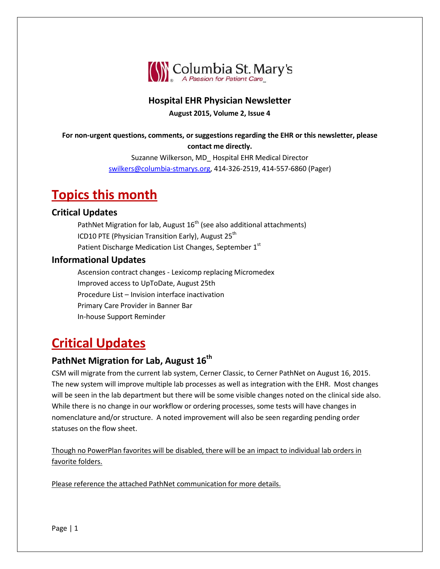

### **Hospital EHR Physician Newsletter**

**August 2015, Volume 2, Issue 4**

#### **For non-urgent questions, comments, or suggestions regarding the EHR or this newsletter, please contact me directly.**

Suzanne Wilkerson, MD\_ Hospital EHR Medical Director [swilkers@columbia-stmarys.org,](mailto:swilkers@columbia-stmarys.org) 414-326-2519, 414-557-6860 (Pager)

# **Topics this month**

#### **Critical Updates**

PathNet Migration for lab, August  $16<sup>th</sup>$  (see also additional attachments) ICD10 PTE (Physician Transition Early), August  $25<sup>th</sup>$ Patient Discharge Medication List Changes, September 1st

#### **Informational Updates**

Ascension contract changes - Lexicomp replacing Micromedex Improved access to UpToDate, August 25th Procedure List – Invision interface inactivation Primary Care Provider in Banner Bar In-house Support Reminder

# **Critical Updates**

## **PathNet Migration for Lab, August 16<sup>th</sup>**

CSM will migrate from the current lab system, Cerner Classic, to Cerner PathNet on August 16, 2015. The new system will improve multiple lab processes as well as integration with the EHR. Most changes will be seen in the lab department but there will be some visible changes noted on the clinical side also. While there is no change in our workflow or ordering processes, some tests will have changes in nomenclature and/or structure. A noted improvement will also be seen regarding pending order statuses on the flow sheet.

Though no PowerPlan favorites will be disabled, there will be an impact to individual lab orders in favorite folders.

Please reference the attached PathNet communication for more details.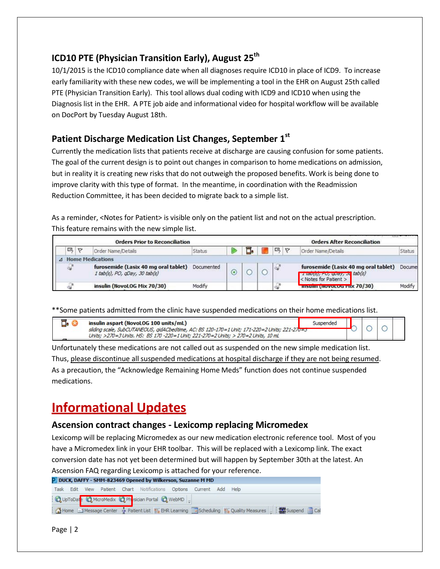## **ICD10** PTE (Physician Transition Early), August 25<sup>th</sup>

10/1/2015 is the ICD10 compliance date when all diagnoses require ICD10 in place of ICD9. To increase early familiarity with these new codes, we will be implementing a tool in the EHR on August 25th called PTE (Physician Transition Early). This tool allows dual coding with ICD9 and ICD10 when using the Diagnosis list in the EHR. A PTE job aide and informational video for hospital workflow will be available on DocPort by Tuesday August 18th.

## **Patient Discharge Medication List Changes, September 1st**

Currently the medication lists that patients receive at discharge are causing confusion for some patients. The goal of the current design is to point out changes in comparison to home medications on admission, but in reality it is creating new risks that do not outweigh the proposed benefits. Work is being done to improve clarity with this type of format. In the meantime, in coordination with the Readmission Reduction Committee, it has been decided to migrate back to a simple list.

As a reminder, <Notes for Patient> is visible only on the patient list and not on the actual prescription. This feature remains with the new simple list.

|   |         | <b>Orders Prior to Reconciliation</b>                                 |            |  |   | <b>Orders After Reconciliation</b>                                                                                               |        |
|---|---------|-----------------------------------------------------------------------|------------|--|---|----------------------------------------------------------------------------------------------------------------------------------|--------|
| 瓯 | $\circ$ | Order Name/Details                                                    | Status     |  | 國 | Order Name/Details                                                                                                               | Status |
|   |         | A Home Medications                                                    |            |  |   |                                                                                                                                  |        |
| ₩ |         | furosemide (Lasix 40 mg oral tablet)<br>1 tab(s), PO, qDay, 30 tab(s) | Documented |  |   | furosemide (Lasix 40 mg oral tablet)<br>$\frac{1}{4}$ tou(s), $r \cup$ , $q \cup q$ , $\partial q$ tab(s)<br>Notes for Patient > | Docume |
|   |         | insulin (NovoLOG Mix 70/30)                                           | Modify     |  |   | <b>IIISUIIII (ROVOLUG PIIX 70/30)</b>                                                                                            | Modify |

\*\*Some patients admitted from the clinic have suspended medications on their home medications list.

| $\Box$ . ( | insulin aspart (NovoLOG 100 units/mL)                                                        | Suspended |  |  |
|------------|----------------------------------------------------------------------------------------------|-----------|--|--|
|            | sliding scale, SubCUTANEOUS, gidACbedtime, AC: BS 120-170=1 Unit; 171-220=2 Units; 221-270=3 |           |  |  |
|            | Units: >270=3 Units, HS: BS 170 -220=1 Unit: 221-270=2 Units: > 270=2 Units, 10 mL           |           |  |  |

Unfortunately these medications are not called out as suspended on the new simple medication list. Thus, please discontinue all suspended medications at hospital discharge if they are not being resumed. As a precaution, the "Acknowledge Remaining Home Meds" function does not continue suspended medications.

# **Informational Updates**

#### **Ascension contract changes - Lexicomp replacing Micromedex**

Lexicomp will be replacing Micromedex as our new medication electronic reference tool. Most of you have a Micromedex link in your EHR toolbar. This will be replaced with a Lexicomp link. The exact conversion date has not yet been determined but will happen by September 30th at the latest. An Ascension FAQ regarding Lexicomp is attached for your reference.

|  |  | <b>P</b> DUCK, DAFFY - SMM-823469 Opened by Wilkerson, Suzanne M MD              |  |                                                                                                                  |  |  |
|--|--|----------------------------------------------------------------------------------|--|------------------------------------------------------------------------------------------------------------------|--|--|
|  |  | Task Edit View Patient Chart Notifications Options Current Add Help              |  |                                                                                                                  |  |  |
|  |  | : <b>Q</b> UpToDat <mark>e Q MicroMedix <b>Q</b> Ph</mark> sician Portal Q WebMD |  |                                                                                                                  |  |  |
|  |  |                                                                                  |  | [ A Home   Message Center ※ Patient List   EHR Learning   m Scheduling     Quality Measures     two Supend   Cal |  |  |

Page | 2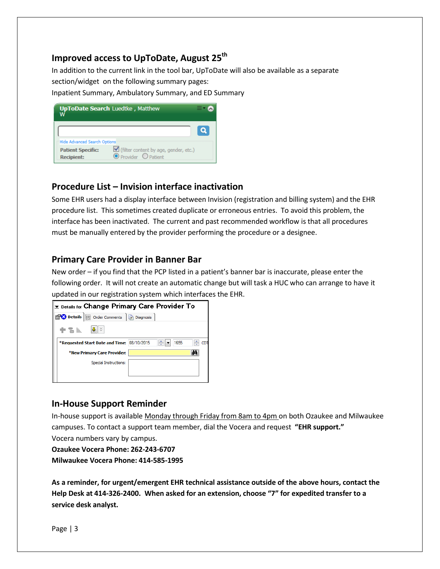### **Improved access to UpToDate, August 25<sup>th</sup>**

In addition to the current link in the tool bar, UpToDate will also be available as a separate section/widget on the following summary pages:

Inpatient Summary, Ambulatory Summary, and ED Summary

|                                               | <b>UpToDate Search Luedtke, Matthew</b>                       |  |
|-----------------------------------------------|---------------------------------------------------------------|--|
| <b>Hide Advanced Search Options</b>           |                                                               |  |
| <b>Patient Specific:</b><br><b>Recipient:</b> | √ (filter content by age, gender, etc.)<br>Provider O Patient |  |

#### **Procedure List – Invision interface inactivation**

Some EHR users had a display interface between Invision (registration and billing system) and the EHR procedure list. This sometimes created duplicate or erroneous entries. To avoid this problem, the interface has been inactivated. The current and past recommended workflow is that all procedures must be manually entered by the provider performing the procedure or a designee.

#### **Primary Care Provider in Banner Bar**

New order – if you find that the PCP listed in a patient's banner bar is inaccurate, please enter the following order. It will not create an automatic change but will task a HUC who can arrange to have it updated in our registration system which interfaces the EHR.



#### **In-House Support Reminder**

In-house support is available Monday through Friday from 8am to 4pm on both Ozaukee and Milwaukee campuses. To contact a support team member, dial the Vocera and request **"EHR support."** Vocera numbers vary by campus.

**Ozaukee Vocera Phone: 262-243-6707 Milwaukee Vocera Phone: 414-585-1995**

**As a reminder, for urgent/emergent EHR technical assistance outside of the above hours, contact the Help Desk at 414-326-2400. When asked for an extension, choose "7" for expedited transfer to a service desk analyst.**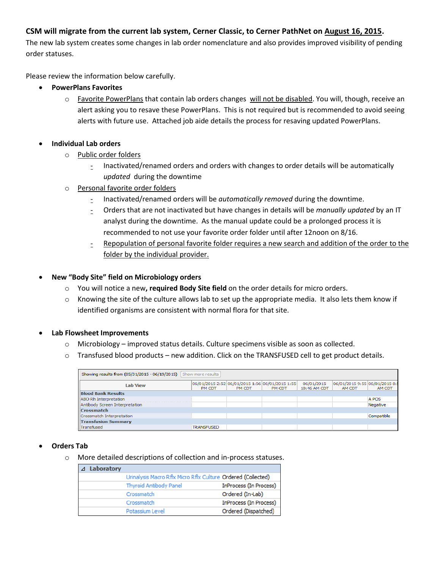#### **CSM will migrate from the current lab system, Cerner Classic, to Cerner PathNet on August 16, 2015.**

The new lab system creates some changes in lab order nomenclature and also provides improved visibility of pending order statuses.

Please review the information below carefully.

- **PowerPlans Favorites**
	- o Favorite PowerPlans that contain lab orders changes will not be disabled. You will, though, receive an alert asking you to resave these PowerPlans. This is not required but is recommended to avoid seeing alerts with future use. Attached job aide details the process for resaving updated PowerPlans.

#### **Individual Lab orders**

- o Public order folders
	- Inactivated/renamed orders and orders with changes to order details will be automatically *updated* during the downtime
- o Personal favorite order folders
	- Inactivated/renamed orders will be *automatically removed* during the downtime.
	- Orders that are not inactivated but have changes in details will be *manually updated* by an IT analyst during the downtime. As the manual update could be a prolonged process it is recommended to not use your favorite order folder until after 12noon on 8/16.
	- Repopulation of personal favorite folder requires a new search and addition of the order to the folder by the individual provider.

#### **New "Body Site" field on Microbiology orders**

- o You will notice a new**, required Body Site field** on the order details for micro orders.
- o Knowing the site of the culture allows lab to set up the appropriate media. It also lets them know if identified organisms are consistent with normal flora for that site.

#### **Lab Flowsheet Improvements**

- o Microbiology improved status details. Culture specimens visible as soon as collected.
- o Transfused blood products new addition. Click on the TRANSFUSED cell to get product details.

| Show more results<br>Showing results from (05/31/2015 - 06/19/2015) |                   |        |                                                           |                            |                                          |            |  |  |
|---------------------------------------------------------------------|-------------------|--------|-----------------------------------------------------------|----------------------------|------------------------------------------|------------|--|--|
| Lab View                                                            | PM CDT            | PM CDT | 06/01/2015 2:52 06/01/2015 1:56 06/01/2015 1:55<br>PM CDT | 06/01/2015<br>10:46 AM CDT | 06/01/2015 9:55 06/01/2015 8:!<br>AM CDT | AM CDT     |  |  |
| <b>Blood Bank Results</b>                                           |                   |        |                                                           |                            |                                          |            |  |  |
| ABO Rh Interpretation                                               |                   |        |                                                           |                            |                                          | A POS      |  |  |
| Antibody Screen Interpretation                                      |                   |        |                                                           |                            |                                          | Negative   |  |  |
| <b>Crossmatch</b>                                                   |                   |        |                                                           |                            |                                          |            |  |  |
| Crossmatch Interpretation                                           |                   |        |                                                           |                            |                                          | Compatible |  |  |
| <b>Transfusion Summary</b>                                          |                   |        |                                                           |                            |                                          |            |  |  |
| Transfused                                                          | <b>TRANSFUSED</b> |        |                                                           |                            |                                          |            |  |  |

#### **Orders Tab**

o More detailed descriptions of collection and in-process statuses.

| $\Delta$ | Laboratory |                                                              |                        |
|----------|------------|--------------------------------------------------------------|------------------------|
|          |            | Urinalysis Macro Rflx Micro Rflx Culture Ordered (Collected) |                        |
|          |            | <b>Thyroid Antibody Panel</b>                                | InProcess (In Process) |
|          |            | Crossmatch                                                   | Ordered (In-Lab)       |
|          |            | Crossmatch                                                   | InProcess (In Process) |
|          |            | Potassium Level                                              | Ordered (Dispatched)   |